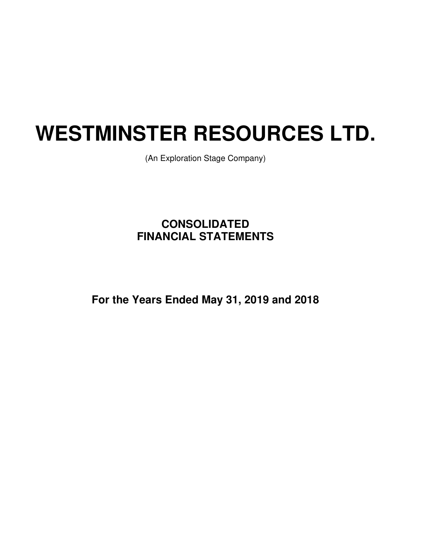# **WESTMINSTER RESOURCES LTD.**

(An Exploration Stage Company)

# **CONSOLIDATED FINANCIAL STATEMENTS**

**For the Years Ended May 31, 2019 and 2018**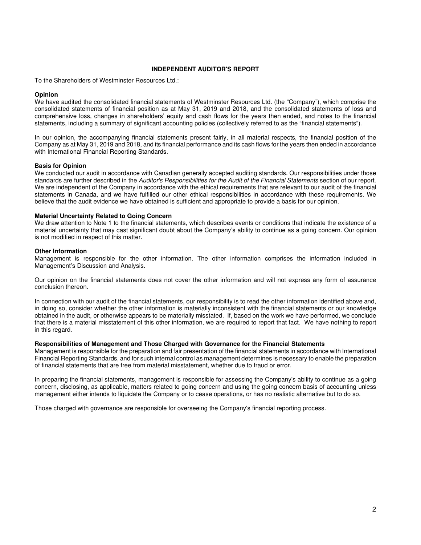#### **INDEPENDENT AUDITOR'S REPORT**

To the Shareholders of Westminster Resources Ltd.:

#### **Opinion**

We have audited the consolidated financial statements of Westminster Resources Ltd. (the "Company"), which comprise the consolidated statements of financial position as at May 31, 2019 and 2018, and the consolidated statements of loss and comprehensive loss, changes in shareholders' equity and cash flows for the years then ended, and notes to the financial statements, including a summary of significant accounting policies (collectively referred to as the "financial statements").

In our opinion, the accompanying financial statements present fairly, in all material respects, the financial position of the Company as at May 31, 2019 and 2018, and its financial performance and its cash flows for the years then ended in accordance with International Financial Reporting Standards.

#### **Basis for Opinion**

We conducted our audit in accordance with Canadian generally accepted auditing standards. Our responsibilities under those standards are further described in the Auditor's Responsibilities for the Audit of the Financial Statements section of our report. We are independent of the Company in accordance with the ethical requirements that are relevant to our audit of the financial statements in Canada, and we have fulfilled our other ethical responsibilities in accordance with these requirements. We believe that the audit evidence we have obtained is sufficient and appropriate to provide a basis for our opinion.

#### **Material Uncertainty Related to Going Concern**

We draw attention to Note 1 to the financial statements, which describes events or conditions that indicate the existence of a material uncertainty that may cast significant doubt about the Company's ability to continue as a going concern. Our opinion is not modified in respect of this matter.

#### **Other Information**

Management is responsible for the other information. The other information comprises the information included in Management's Discussion and Analysis.

Our opinion on the financial statements does not cover the other information and will not express any form of assurance conclusion thereon.

In connection with our audit of the financial statements, our responsibility is to read the other information identified above and, in doing so, consider whether the other information is materially inconsistent with the financial statements or our knowledge obtained in the audit, or otherwise appears to be materially misstated. If, based on the work we have performed, we conclude that there is a material misstatement of this other information, we are required to report that fact. We have nothing to report in this regard.

#### **Responsibilities of Management and Those Charged with Governance for the Financial Statements**

Management is responsible for the preparation and fair presentation of the financial statements in accordance with International Financial Reporting Standards, and for such internal control as management determines is necessary to enable the preparation of financial statements that are free from material misstatement, whether due to fraud or error.

In preparing the financial statements, management is responsible for assessing the Company's ability to continue as a going concern, disclosing, as applicable, matters related to going concern and using the going concern basis of accounting unless management either intends to liquidate the Company or to cease operations, or has no realistic alternative but to do so.

Those charged with governance are responsible for overseeing the Company's financial reporting process.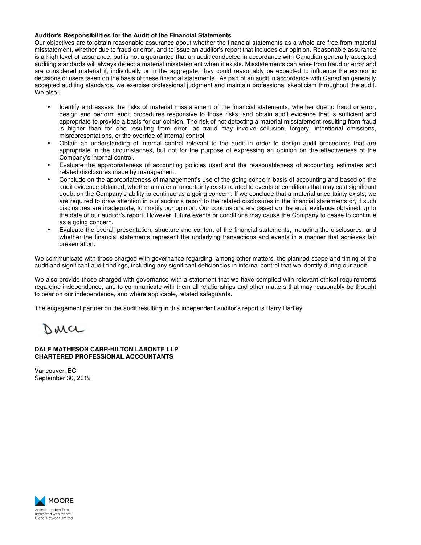#### **Auditor's Responsibilities for the Audit of the Financial Statements**

Our objectives are to obtain reasonable assurance about whether the financial statements as a whole are free from material misstatement, whether due to fraud or error, and to issue an auditor's report that includes our opinion. Reasonable assurance is a high level of assurance, but is not a guarantee that an audit conducted in accordance with Canadian generally accepted auditing standards will always detect a material misstatement when it exists. Misstatements can arise from fraud or error and are considered material if, individually or in the aggregate, they could reasonably be expected to influence the economic decisions of users taken on the basis of these financial statements. As part of an audit in accordance with Canadian generally accepted auditing standards, we exercise professional judgment and maintain professional skepticism throughout the audit. We also:

- Identify and assess the risks of material misstatement of the financial statements, whether due to fraud or error, design and perform audit procedures responsive to those risks, and obtain audit evidence that is sufficient and appropriate to provide a basis for our opinion. The risk of not detecting a material misstatement resulting from fraud is higher than for one resulting from error, as fraud may involve collusion, forgery, intentional omissions, misrepresentations, or the override of internal control.
- Obtain an understanding of internal control relevant to the audit in order to design audit procedures that are appropriate in the circumstances, but not for the purpose of expressing an opinion on the effectiveness of the Company's internal control.
- Evaluate the appropriateness of accounting policies used and the reasonableness of accounting estimates and related disclosures made by management.
- Conclude on the appropriateness of management's use of the going concern basis of accounting and based on the audit evidence obtained, whether a material uncertainty exists related to events or conditions that may cast significant doubt on the Company's ability to continue as a going concern. If we conclude that a material uncertainty exists, we are required to draw attention in our auditor's report to the related disclosures in the financial statements or, if such disclosures are inadequate, to modify our opinion. Our conclusions are based on the audit evidence obtained up to the date of our auditor's report. However, future events or conditions may cause the Company to cease to continue as a going concern.
- Evaluate the overall presentation, structure and content of the financial statements, including the disclosures, and whether the financial statements represent the underlying transactions and events in a manner that achieves fair presentation.

We communicate with those charged with governance regarding, among other matters, the planned scope and timing of the audit and significant audit findings, including any significant deficiencies in internal control that we identify during our audit.

We also provide those charged with governance with a statement that we have complied with relevant ethical requirements regarding independence, and to communicate with them all relationships and other matters that may reasonably be thought to bear on our independence, and where applicable, related safeguards.

The engagement partner on the audit resulting in this independent auditor's report is Barry Hartley.

Duce

#### **DALE MATHESON CARR-HILTON LABONTE LLP CHARTERED PROFESSIONAL ACCOUNTANTS**

Vancouver, BC September 30, 2019

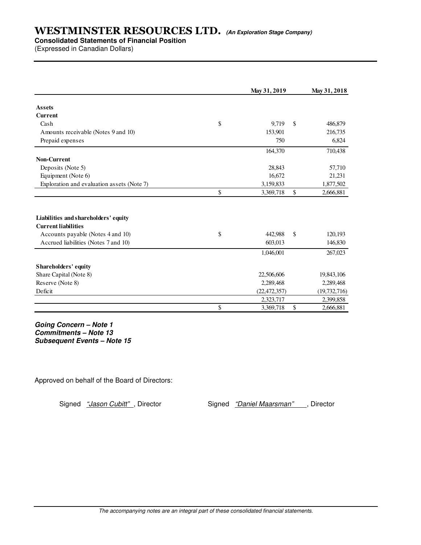**Consolidated Statements of Financial Position** 

(Expressed in Canadian Dollars)

|                                            | May 31, 2019    |               | May 31, 2018   |
|--------------------------------------------|-----------------|---------------|----------------|
| <b>Assets</b>                              |                 |               |                |
| <b>Current</b>                             |                 |               |                |
| Cash                                       | \$<br>9.719     | \$            | 486,879        |
| Amounts receivable (Notes 9 and 10)        | 153,901         |               | 216,735        |
| Prepaid expenses                           | 750             |               | 6,824          |
|                                            | 164,370         |               | 710,438        |
| <b>Non-Current</b>                         |                 |               |                |
| Deposits (Note 5)                          | 28,843          |               | 57,710         |
| Equipment (Note 6)                         | 16,672          |               | 21,231         |
| Exploration and evaluation assets (Note 7) | 3,159,833       |               | 1,877,502      |
|                                            | \$<br>3,369,718 | $\mathbb{S}$  | 2,666,881      |
| Liabilities and shareholders' equity       |                 |               |                |
| <b>Current liabilities</b>                 |                 |               |                |
| Accounts payable (Notes 4 and 10)          | \$<br>442,988   | $\mathcal{S}$ | 120,193        |
| Accrued liabilities (Notes 7 and 10)       | 603,013         |               | 146,830        |
|                                            | 1,046,001       |               | 267,023        |
| Shareholders' equity                       |                 |               |                |
| Share Capital (Note 8)                     | 22,506,606      |               | 19,843,106     |
| Reserve (Note 8)                           | 2,289,468       |               | 2,289,468      |
| Deficit                                    | (22, 472, 357)  |               | (19, 732, 716) |
|                                            | 2,323,717       |               | 2,399,858      |
|                                            | \$<br>3,369,718 | \$            | 2,666,881      |

**Going Concern – Note 1 Commitments – Note 13 Subsequent Events – Note 15** 

Approved on behalf of the Board of Directors:

Signed "Jason Cubitt", Director Signed "Daniel Maarsman" , Director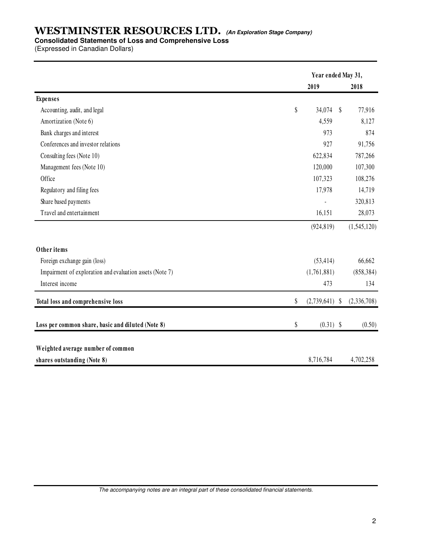#### **Consolidated Statements of Loss and Comprehensive Loss**

(Expressed in Canadian Dollars)

|                                                          | Year ended May 31,     |              |
|----------------------------------------------------------|------------------------|--------------|
|                                                          | 2019                   | 2018         |
| <b>Expenses</b>                                          |                        |              |
| Accounting, audit, and legal                             | \$<br>34,074           | \$<br>77,916 |
| Amortization (Note 6)                                    | 4,559                  | 8,127        |
| Bank charges and interest                                | 973                    | 874          |
| Conferences and investor relations                       | 927                    | 91,756       |
| Consulting fees (Note 10)                                | 622,834                | 787,266      |
| Management fees (Note 10)                                | 120,000                | 107,300      |
| Office                                                   | 107,323                | 108,276      |
| Regulatory and filing fees                               | 17,978                 | 14,719       |
| Share based payments                                     |                        | 320,813      |
| Travel and entertainment                                 | 16,151                 | 28,073       |
|                                                          | (924, 819)             | (1,545,120)  |
| Other items                                              |                        |              |
| Foreign exchange gain (loss)                             | (53, 414)              | 66,662       |
| Impairment of exploration and evaluation assets (Note 7) | (1,761,881)            | (858, 384)   |
| Interest income                                          | 473                    | 134          |
| Total loss and comprehensive loss                        | \$<br>$(2,739,641)$ \$ | (2,336,708)  |
| Loss per common share, basic and diluted (Note 8)        | \$<br>$(0.31)$ \$      | (0.50)       |
| Weighted average number of common                        |                        |              |
| shares outstanding (Note 8)                              | 8,716,784              | 4,702,258    |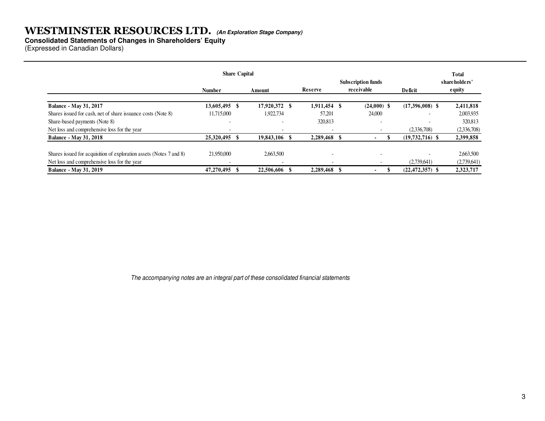**Consolidated Statements of Changes in Shareholders' Equity**  (Expressed in Canadian Dollars)

|                                                                     |                          | <b>Share Capital</b>     |                          |                           |                          | Total         |
|---------------------------------------------------------------------|--------------------------|--------------------------|--------------------------|---------------------------|--------------------------|---------------|
|                                                                     |                          |                          |                          | <b>Subscription funds</b> |                          | shareholders' |
|                                                                     | <b>Number</b>            | Amount                   | Reserve                  | receivable                | Deficit                  | equity        |
| <b>Balance - May 31, 2017</b>                                       | 13,605,495 \$            | 17,920,372 \$            | 1,911,454 \$             | $(24,000)$ \$             | $(17,396,008)$ \$        | 2,411,818     |
| Shares issued for cash, net of share issuance costs (Note 8)        | 11.715,000               | 1.922.734                | 57,201                   | 24,000                    | $\overline{\phantom{0}}$ | 2,003,935     |
| Share-based payments (Note 8)                                       | $\overline{\phantom{0}}$ | $\overline{\phantom{0}}$ | 320,813                  |                           |                          | 320.813       |
| Net loss and comprehensive loss for the year                        |                          | $\overline{\phantom{0}}$ | $\overline{\phantom{0}}$ | $\overline{\phantom{a}}$  | (2,336,708)              | (2,336,708)   |
| <b>Balance - May 31, 2018</b>                                       | 25,320,495               | 19,843,106 \$            | 2,289,468 \$             |                           | $(19,732,716)$ \$        | 2,399,858     |
| Shares issued for acquisition of exploration assets (Notes 7 and 8) | 21,950,000               | 2,663,500                | $\overline{\phantom{0}}$ | $\overline{\phantom{0}}$  |                          | 2,663,500     |
| Net loss and comprehensive loss for the year                        |                          | $\overline{\phantom{0}}$ |                          | ۰                         | (2,739,641)              | (2,739,641)   |
| <b>Balance - May 31, 2019</b>                                       | 47,270,495               | 22,506,606               | 2.289,468 \$             |                           | $(22, 472, 357)$ \$      | 2,323,717     |

The accompanying notes are an integral part of these consolidated financial statements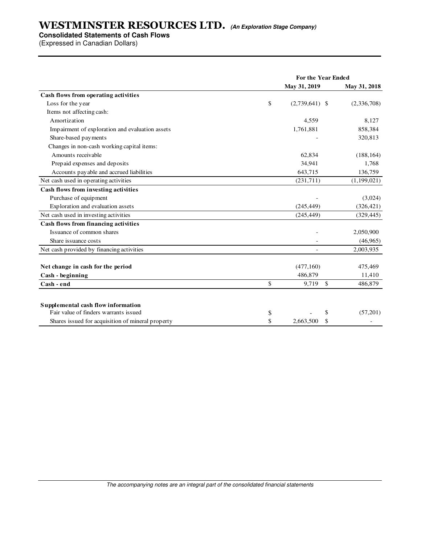**Consolidated Statements of Cash Flows** 

(Expressed in Canadian Dollars)

|                                                   | <b>For the Year Ended</b> |              |              |
|---------------------------------------------------|---------------------------|--------------|--------------|
|                                                   | May 31, 2019              |              | May 31, 2018 |
| Cash flows from operating activities              |                           |              |              |
| Loss for the year                                 | \$<br>$(2,739,641)$ \$    |              | (2,336,708)  |
| Items not affecting cash:                         |                           |              |              |
| Amortization                                      | 4,559                     |              | 8,127        |
| Impairment of exploration and evaluation assets   | 1,761,881                 |              | 858,384      |
| Share-based payments                              |                           |              | 320,813      |
| Changes in non-cash working capital items:        |                           |              |              |
| Amounts receivable                                | 62,834                    |              | (188, 164)   |
| Prepaid expenses and deposits                     | 34,941                    |              | 1,768        |
| Accounts payable and accrued liabilities          | 643,715                   |              | 136,759      |
| Net cash used in operating activities             | (231,711)                 |              | (1,199,021)  |
| Cash flows from investing activities              |                           |              |              |
| Purchase of equipment                             |                           |              | (3,024)      |
| Exploration and evaluation assets                 | (245, 449)                |              | (326, 421)   |
| Net cash used in investing activities             | (245, 449)                |              | (329, 445)   |
| <b>Cash flows from financing activities</b>       |                           |              |              |
| Issuance of common shares                         |                           |              | 2,050,900    |
| Share issuance costs                              |                           |              | (46,965)     |
| Net cash provided by financing activities         |                           |              | 2,003,935    |
| Net change in cash for the period                 | (477,160)                 |              | 475,469      |
| Cash - beginning                                  | 486,879                   |              | 11,410       |
| Cash - end                                        | \$<br>9,719               | $\mathbb{S}$ | 486,879      |
|                                                   |                           |              |              |
| Supplemental cash flow information                |                           |              |              |
| Fair value of finders warrants issued             | \$                        | \$           | (57,201)     |
| Shares issued for acquisition of mineral property | \$<br>2,663,500           | \$           |              |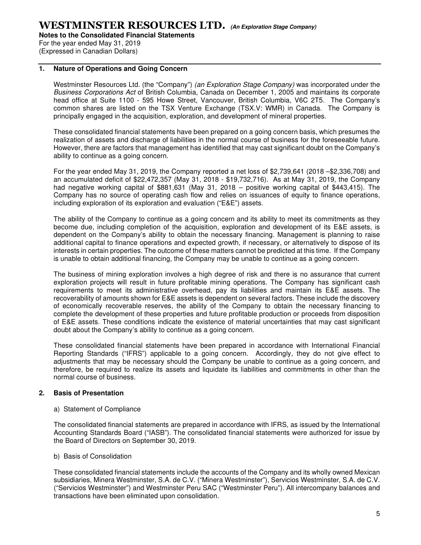**Notes to the Consolidated Financial Statements** 

For the year ended May 31, 2019 (Expressed in Canadian Dollars)

#### **1. Nature of Operations and Going Concern**

Westminster Resources Ltd. (the "Company") (an Exploration Stage Company) was incorporated under the Business Corporations Act of British Columbia, Canada on December 1, 2005 and maintains its corporate head office at Suite 1100 - 595 Howe Street, Vancouver, British Columbia, V6C 2T5. The Company's common shares are listed on the TSX Venture Exchange (TSX.V: WMR) in Canada. The Company is principally engaged in the acquisition, exploration, and development of mineral properties.

These consolidated financial statements have been prepared on a going concern basis, which presumes the realization of assets and discharge of liabilities in the normal course of business for the foreseeable future. However, there are factors that management has identified that may cast significant doubt on the Company's ability to continue as a going concern.

For the year ended May 31, 2019, the Company reported a net loss of \$2,739,641 (2018 –\$2,336,708) and an accumulated deficit of \$22,472,357 (May 31, 2018 - \$19,732,716). As at May 31, 2019, the Company had negative working capital of \$881,631 (May 31, 2018 – positive working capital of \$443,415). The Company has no source of operating cash flow and relies on issuances of equity to finance operations, including exploration of its exploration and evaluation ("E&E") assets.

The ability of the Company to continue as a going concern and its ability to meet its commitments as they become due, including completion of the acquisition, exploration and development of its E&E assets, is dependent on the Company's ability to obtain the necessary financing. Management is planning to raise additional capital to finance operations and expected growth, if necessary, or alternatively to dispose of its interests in certain properties. The outcome of these matters cannot be predicted at this time. If the Company is unable to obtain additional financing, the Company may be unable to continue as a going concern.

The business of mining exploration involves a high degree of risk and there is no assurance that current exploration projects will result in future profitable mining operations. The Company has significant cash requirements to meet its administrative overhead, pay its liabilities and maintain its E&E assets. The recoverability of amounts shown for E&E assets is dependent on several factors. These include the discovery of economically recoverable reserves, the ability of the Company to obtain the necessary financing to complete the development of these properties and future profitable production or proceeds from disposition of E&E assets. These conditions indicate the existence of material uncertainties that may cast significant doubt about the Company's ability to continue as a going concern.

These consolidated financial statements have been prepared in accordance with International Financial Reporting Standards ("IFRS") applicable to a going concern. Accordingly, they do not give effect to adjustments that may be necessary should the Company be unable to continue as a going concern, and therefore, be required to realize its assets and liquidate its liabilities and commitments in other than the normal course of business.

#### **2. Basis of Presentation**

#### a) Statement of Compliance

The consolidated financial statements are prepared in accordance with IFRS, as issued by the International Accounting Standards Board ("IASB"). The consolidated financial statements were authorized for issue by the Board of Directors on September 30, 2019.

#### b) Basis of Consolidation

These consolidated financial statements include the accounts of the Company and its wholly owned Mexican subsidiaries, Minera Westminster, S.A. de C.V. ("Minera Westminster"), Servicios Westminster, S.A. de C.V. ("Servicios Westminster") and Westminster Peru SAC ("Westminster Peru"). All intercompany balances and transactions have been eliminated upon consolidation.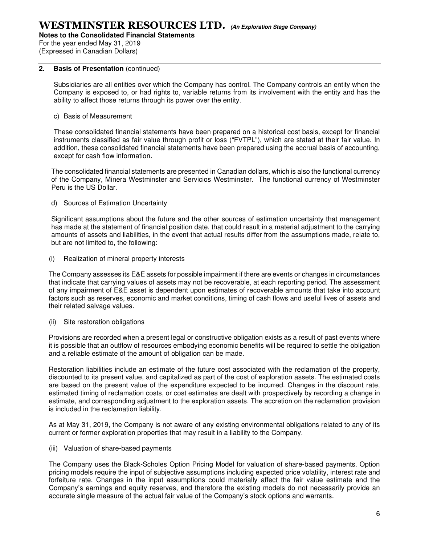**Notes to the Consolidated Financial Statements** 

For the year ended May 31, 2019 (Expressed in Canadian Dollars)

#### **2. Basis of Presentation** (continued)

Subsidiaries are all entities over which the Company has control. The Company controls an entity when the Company is exposed to, or had rights to, variable returns from its involvement with the entity and has the ability to affect those returns through its power over the entity.

c) Basis of Measurement

These consolidated financial statements have been prepared on a historical cost basis, except for financial instruments classified as fair value through profit or loss ("FVTPL"), which are stated at their fair value. In addition, these consolidated financial statements have been prepared using the accrual basis of accounting, except for cash flow information.

The consolidated financial statements are presented in Canadian dollars, which is also the functional currency of the Company, Minera Westminster and Servicios Westminster. The functional currency of Westminster Peru is the US Dollar.

d) Sources of Estimation Uncertainty

Significant assumptions about the future and the other sources of estimation uncertainty that management has made at the statement of financial position date, that could result in a material adjustment to the carrying amounts of assets and liabilities, in the event that actual results differ from the assumptions made, relate to, but are not limited to, the following:

(i) Realization of mineral property interests

The Company assesses its E&E assets for possible impairment if there are events or changes in circumstances that indicate that carrying values of assets may not be recoverable, at each reporting period. The assessment of any impairment of E&E asset is dependent upon estimates of recoverable amounts that take into account factors such as reserves, economic and market conditions, timing of cash flows and useful lives of assets and their related salvage values.

(ii) Site restoration obligations

Provisions are recorded when a present legal or constructive obligation exists as a result of past events where it is possible that an outflow of resources embodying economic benefits will be required to settle the obligation and a reliable estimate of the amount of obligation can be made.

Restoration liabilities include an estimate of the future cost associated with the reclamation of the property, discounted to its present value, and capitalized as part of the cost of exploration assets. The estimated costs are based on the present value of the expenditure expected to be incurred. Changes in the discount rate, estimated timing of reclamation costs, or cost estimates are dealt with prospectively by recording a change in estimate, and corresponding adjustment to the exploration assets. The accretion on the reclamation provision is included in the reclamation liability.

As at May 31, 2019, the Company is not aware of any existing environmental obligations related to any of its current or former exploration properties that may result in a liability to the Company.

(iii) Valuation of share-based payments

The Company uses the Black-Scholes Option Pricing Model for valuation of share-based payments. Option pricing models require the input of subjective assumptions including expected price volatility, interest rate and forfeiture rate. Changes in the input assumptions could materially affect the fair value estimate and the Company's earnings and equity reserves, and therefore the existing models do not necessarily provide an accurate single measure of the actual fair value of the Company's stock options and warrants.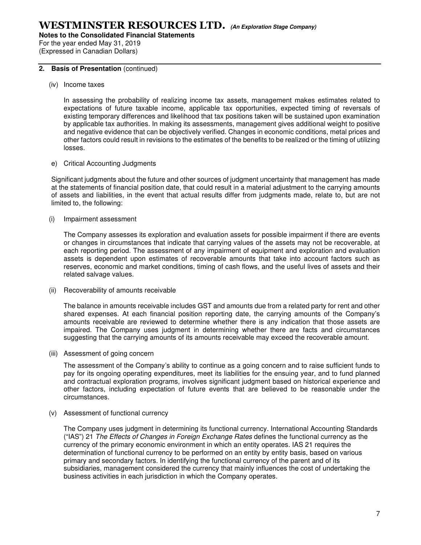For the year ended May 31, 2019 (Expressed in Canadian Dollars)

#### **2. Basis of Presentation** (continued)

(iv) Income taxes

In assessing the probability of realizing income tax assets, management makes estimates related to expectations of future taxable income, applicable tax opportunities, expected timing of reversals of existing temporary differences and likelihood that tax positions taken will be sustained upon examination by applicable tax authorities. In making its assessments, management gives additional weight to positive and negative evidence that can be objectively verified. Changes in economic conditions, metal prices and other factors could result in revisions to the estimates of the benefits to be realized or the timing of utilizing losses.

e) Critical Accounting Judgments

Significant judgments about the future and other sources of judgment uncertainty that management has made at the statements of financial position date, that could result in a material adjustment to the carrying amounts of assets and liabilities, in the event that actual results differ from judgments made, relate to, but are not limited to, the following:

(i) Impairment assessment

The Company assesses its exploration and evaluation assets for possible impairment if there are events or changes in circumstances that indicate that carrying values of the assets may not be recoverable, at each reporting period. The assessment of any impairment of equipment and exploration and evaluation assets is dependent upon estimates of recoverable amounts that take into account factors such as reserves, economic and market conditions, timing of cash flows, and the useful lives of assets and their related salvage values.

(ii) Recoverability of amounts receivable

The balance in amounts receivable includes GST and amounts due from a related party for rent and other shared expenses. At each financial position reporting date, the carrying amounts of the Company's amounts receivable are reviewed to determine whether there is any indication that those assets are impaired. The Company uses judgment in determining whether there are facts and circumstances suggesting that the carrying amounts of its amounts receivable may exceed the recoverable amount.

(iii) Assessment of going concern

The assessment of the Company's ability to continue as a going concern and to raise sufficient funds to pay for its ongoing operating expenditures, meet its liabilities for the ensuing year, and to fund planned and contractual exploration programs, involves significant judgment based on historical experience and other factors, including expectation of future events that are believed to be reasonable under the circumstances.

(v) Assessment of functional currency

The Company uses judgment in determining its functional currency. International Accounting Standards ("IAS") 21 The Effects of Changes in Foreign Exchange Rates defines the functional currency as the currency of the primary economic environment in which an entity operates. IAS 21 requires the determination of functional currency to be performed on an entity by entity basis, based on various primary and secondary factors. In identifying the functional currency of the parent and of its subsidiaries, management considered the currency that mainly influences the cost of undertaking the business activities in each jurisdiction in which the Company operates.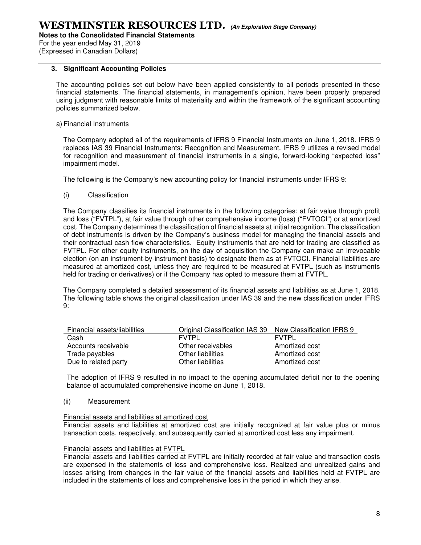For the year ended May 31, 2019 (Expressed in Canadian Dollars)

#### **3. Significant Accounting Policies**

The accounting policies set out below have been applied consistently to all periods presented in these financial statements. The financial statements, in management's opinion, have been properly prepared using judgment with reasonable limits of materiality and within the framework of the significant accounting policies summarized below.

a) Financial Instruments

The Company adopted all of the requirements of IFRS 9 Financial Instruments on June 1, 2018. IFRS 9 replaces IAS 39 Financial Instruments: Recognition and Measurement. IFRS 9 utilizes a revised model for recognition and measurement of financial instruments in a single, forward-looking "expected loss" impairment model.

The following is the Company's new accounting policy for financial instruments under IFRS 9:

(i) Classification

The Company classifies its financial instruments in the following categories: at fair value through profit and loss ("FVTPL"), at fair value through other comprehensive income (loss) ("FVTOCI") or at amortized cost. The Company determines the classification of financial assets at initial recognition. The classification of debt instruments is driven by the Company's business model for managing the financial assets and their contractual cash flow characteristics. Equity instruments that are held for trading are classified as FVTPL. For other equity instruments, on the day of acquisition the Company can make an irrevocable election (on an instrument-by-instrument basis) to designate them as at FVTOCI. Financial liabilities are measured at amortized cost, unless they are required to be measured at FVTPL (such as instruments held for trading or derivatives) or if the Company has opted to measure them at FVTPL.

The Company completed a detailed assessment of its financial assets and liabilities as at June 1, 2018. The following table shows the original classification under IAS 39 and the new classification under IFRS 9:

| Financial assets/liabilities | Original Classification IAS 39 New Classification IFRS 9 |                |
|------------------------------|----------------------------------------------------------|----------------|
| Cash                         | <b>FVTPI</b>                                             | <b>FVTPL</b>   |
| Accounts receivable          | Other receivables                                        | Amortized cost |
| Trade payables               | Other liabilities                                        | Amortized cost |
| Due to related party         | Other liabilities                                        | Amortized cost |

The adoption of IFRS 9 resulted in no impact to the opening accumulated deficit nor to the opening balance of accumulated comprehensive income on June 1, 2018.

(ii) Measurement

#### Financial assets and liabilities at amortized cost

Financial assets and liabilities at amortized cost are initially recognized at fair value plus or minus transaction costs, respectively, and subsequently carried at amortized cost less any impairment.

#### Financial assets and liabilities at FVTPL

Financial assets and liabilities carried at FVTPL are initially recorded at fair value and transaction costs are expensed in the statements of loss and comprehensive loss. Realized and unrealized gains and losses arising from changes in the fair value of the financial assets and liabilities held at FVTPL are included in the statements of loss and comprehensive loss in the period in which they arise.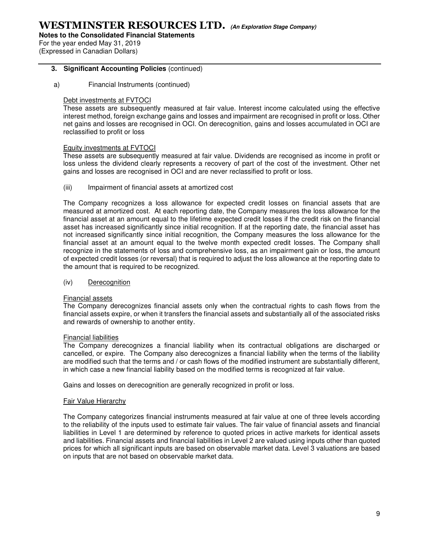**Notes to the Consolidated Financial Statements** 

For the year ended May 31, 2019 (Expressed in Canadian Dollars)

#### **3. Significant Accounting Policies** (continued)

#### a) Financial Instruments (continued)

#### Debt investments at FVTOCI

These assets are subsequently measured at fair value. Interest income calculated using the effective interest method, foreign exchange gains and losses and impairment are recognised in profit or loss. Other net gains and losses are recognised in OCI. On derecognition, gains and losses accumulated in OCI are reclassified to profit or loss

#### Equity investments at FVTOCI

These assets are subsequently measured at fair value. Dividends are recognised as income in profit or loss unless the dividend clearly represents a recovery of part of the cost of the investment. Other net gains and losses are recognised in OCI and are never reclassified to profit or loss.

(iii) Impairment of financial assets at amortized cost

The Company recognizes a loss allowance for expected credit losses on financial assets that are measured at amortized cost. At each reporting date, the Company measures the loss allowance for the financial asset at an amount equal to the lifetime expected credit losses if the credit risk on the financial asset has increased significantly since initial recognition. If at the reporting date, the financial asset has not increased significantly since initial recognition, the Company measures the loss allowance for the financial asset at an amount equal to the twelve month expected credit losses. The Company shall recognize in the statements of loss and comprehensive loss, as an impairment gain or loss, the amount of expected credit losses (or reversal) that is required to adjust the loss allowance at the reporting date to the amount that is required to be recognized.

(iv) Derecognition

#### Financial assets

The Company derecognizes financial assets only when the contractual rights to cash flows from the financial assets expire, or when it transfers the financial assets and substantially all of the associated risks and rewards of ownership to another entity.

#### Financial liabilities

The Company derecognizes a financial liability when its contractual obligations are discharged or cancelled, or expire. The Company also derecognizes a financial liability when the terms of the liability are modified such that the terms and / or cash flows of the modified instrument are substantially different, in which case a new financial liability based on the modified terms is recognized at fair value.

Gains and losses on derecognition are generally recognized in profit or loss.

#### Fair Value Hierarchy

The Company categorizes financial instruments measured at fair value at one of three levels according to the reliability of the inputs used to estimate fair values. The fair value of financial assets and financial liabilities in Level 1 are determined by reference to quoted prices in active markets for identical assets and liabilities. Financial assets and financial liabilities in Level 2 are valued using inputs other than quoted prices for which all significant inputs are based on observable market data. Level 3 valuations are based on inputs that are not based on observable market data.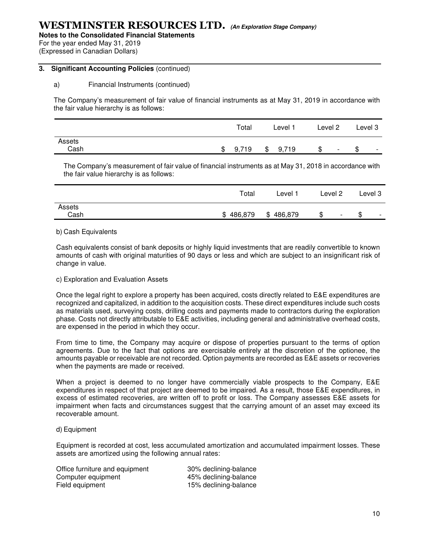**Notes to the Consolidated Financial Statements** 

For the year ended May 31, 2019 (Expressed in Canadian Dollars)

#### **3. Significant Accounting Policies** (continued)

#### a) Financial Instruments (continued)

The Company's measurement of fair value of financial instruments as at May 31, 2019 in accordance with the fair value hierarchy is as follows:

|                |   | Total | Level 1     | Level 2 |                          |   | Level 3                  |
|----------------|---|-------|-------------|---------|--------------------------|---|--------------------------|
| Assets<br>Cash | S | 9,719 | \$<br>9,719 | ιIJ     | $\overline{\phantom{0}}$ | Œ | $\overline{\phantom{a}}$ |

The Company's measurement of fair value of financial instruments as at May 31, 2018 in accordance with the fair value hierarchy is as follows:

|                | Total     | ∟evel 1   | Level 2 |                          | ∟evel 3 |   |
|----------------|-----------|-----------|---------|--------------------------|---------|---|
| Assets<br>Cash | \$486,879 | \$486,879 |         | $\overline{\phantom{a}}$ | æ       | - |

#### b) Cash Equivalents

Cash equivalents consist of bank deposits or highly liquid investments that are readily convertible to known amounts of cash with original maturities of 90 days or less and which are subject to an insignificant risk of change in value.

#### c) Exploration and Evaluation Assets

Once the legal right to explore a property has been acquired, costs directly related to E&E expenditures are recognized and capitalized, in addition to the acquisition costs. These direct expenditures include such costs as materials used, surveying costs, drilling costs and payments made to contractors during the exploration phase. Costs not directly attributable to E&E activities, including general and administrative overhead costs, are expensed in the period in which they occur.

From time to time, the Company may acquire or dispose of properties pursuant to the terms of option agreements. Due to the fact that options are exercisable entirely at the discretion of the optionee, the amounts payable or receivable are not recorded. Option payments are recorded as E&E assets or recoveries when the payments are made or received.

When a project is deemed to no longer have commercially viable prospects to the Company, E&E expenditures in respect of that project are deemed to be impaired. As a result, those E&E expenditures, in excess of estimated recoveries, are written off to profit or loss. The Company assesses E&E assets for impairment when facts and circumstances suggest that the carrying amount of an asset may exceed its recoverable amount.

#### d) Equipment

Equipment is recorded at cost, less accumulated amortization and accumulated impairment losses. These assets are amortized using the following annual rates:

| Office furniture and equipment | 30% declining-balance |
|--------------------------------|-----------------------|
| Computer equipment             | 45% declining-balance |
| Field equipment                | 15% declining-balance |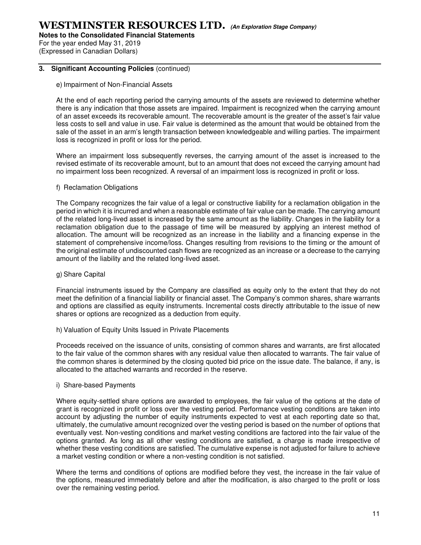**Notes to the Consolidated Financial Statements** 

For the year ended May 31, 2019 (Expressed in Canadian Dollars)

#### **3. Significant Accounting Policies** (continued)

#### e) Impairment of Non-Financial Assets

At the end of each reporting period the carrying amounts of the assets are reviewed to determine whether there is any indication that those assets are impaired. Impairment is recognized when the carrying amount of an asset exceeds its recoverable amount. The recoverable amount is the greater of the asset's fair value less costs to sell and value in use. Fair value is determined as the amount that would be obtained from the sale of the asset in an arm's length transaction between knowledgeable and willing parties. The impairment loss is recognized in profit or loss for the period.

Where an impairment loss subsequently reverses, the carrying amount of the asset is increased to the revised estimate of its recoverable amount, but to an amount that does not exceed the carrying amount had no impairment loss been recognized. A reversal of an impairment loss is recognized in profit or loss.

#### f) Reclamation Obligations

The Company recognizes the fair value of a legal or constructive liability for a reclamation obligation in the period in which it is incurred and when a reasonable estimate of fair value can be made. The carrying amount of the related long-lived asset is increased by the same amount as the liability. Changes in the liability for a reclamation obligation due to the passage of time will be measured by applying an interest method of allocation. The amount will be recognized as an increase in the liability and a financing expense in the statement of comprehensive income/loss. Changes resulting from revisions to the timing or the amount of the original estimate of undiscounted cash flows are recognized as an increase or a decrease to the carrying amount of the liability and the related long-lived asset.

#### g) Share Capital

Financial instruments issued by the Company are classified as equity only to the extent that they do not meet the definition of a financial liability or financial asset. The Company's common shares, share warrants and options are classified as equity instruments. Incremental costs directly attributable to the issue of new shares or options are recognized as a deduction from equity.

#### h) Valuation of Equity Units Issued in Private Placements

Proceeds received on the issuance of units, consisting of common shares and warrants, are first allocated to the fair value of the common shares with any residual value then allocated to warrants. The fair value of the common shares is determined by the closing quoted bid price on the issue date. The balance, if any, is allocated to the attached warrants and recorded in the reserve.

#### i) Share-based Payments

Where equity-settled share options are awarded to employees, the fair value of the options at the date of grant is recognized in profit or loss over the vesting period. Performance vesting conditions are taken into account by adjusting the number of equity instruments expected to vest at each reporting date so that, ultimately, the cumulative amount recognized over the vesting period is based on the number of options that eventually vest. Non-vesting conditions and market vesting conditions are factored into the fair value of the options granted. As long as all other vesting conditions are satisfied, a charge is made irrespective of whether these vesting conditions are satisfied. The cumulative expense is not adjusted for failure to achieve a market vesting condition or where a non-vesting condition is not satisfied.

Where the terms and conditions of options are modified before they vest, the increase in the fair value of the options, measured immediately before and after the modification, is also charged to the profit or loss over the remaining vesting period.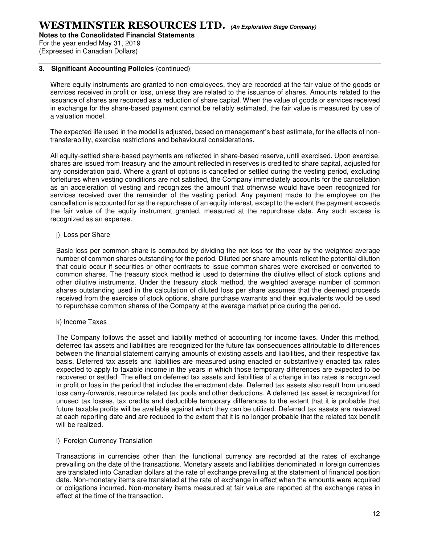For the year ended May 31, 2019 (Expressed in Canadian Dollars)

#### **3. Significant Accounting Policies** (continued)

Where equity instruments are granted to non-employees, they are recorded at the fair value of the goods or services received in profit or loss, unless they are related to the issuance of shares. Amounts related to the issuance of shares are recorded as a reduction of share capital. When the value of goods or services received in exchange for the share-based payment cannot be reliably estimated, the fair value is measured by use of a valuation model.

The expected life used in the model is adjusted, based on management's best estimate, for the effects of nontransferability, exercise restrictions and behavioural considerations.

All equity-settled share-based payments are reflected in share-based reserve, until exercised. Upon exercise, shares are issued from treasury and the amount reflected in reserves is credited to share capital, adjusted for any consideration paid. Where a grant of options is cancelled or settled during the vesting period, excluding forfeitures when vesting conditions are not satisfied, the Company immediately accounts for the cancellation as an acceleration of vesting and recognizes the amount that otherwise would have been recognized for services received over the remainder of the vesting period. Any payment made to the employee on the cancellation is accounted for as the repurchase of an equity interest, except to the extent the payment exceeds the fair value of the equity instrument granted, measured at the repurchase date. Any such excess is recognized as an expense.

#### j) Loss per Share

Basic loss per common share is computed by dividing the net loss for the year by the weighted average number of common shares outstanding for the period. Diluted per share amounts reflect the potential dilution that could occur if securities or other contracts to issue common shares were exercised or converted to common shares. The treasury stock method is used to determine the dilutive effect of stock options and other dilutive instruments. Under the treasury stock method, the weighted average number of common shares outstanding used in the calculation of diluted loss per share assumes that the deemed proceeds received from the exercise of stock options, share purchase warrants and their equivalents would be used to repurchase common shares of the Company at the average market price during the period.

#### k) Income Taxes

The Company follows the asset and liability method of accounting for income taxes. Under this method, deferred tax assets and liabilities are recognized for the future tax consequences attributable to differences between the financial statement carrying amounts of existing assets and liabilities, and their respective tax basis. Deferred tax assets and liabilities are measured using enacted or substantively enacted tax rates expected to apply to taxable income in the years in which those temporary differences are expected to be recovered or settled. The effect on deferred tax assets and liabilities of a change in tax rates is recognized in profit or loss in the period that includes the enactment date. Deferred tax assets also result from unused loss carry-forwards, resource related tax pools and other deductions. A deferred tax asset is recognized for unused tax losses, tax credits and deductible temporary differences to the extent that it is probable that future taxable profits will be available against which they can be utilized. Deferred tax assets are reviewed at each reporting date and are reduced to the extent that it is no longer probable that the related tax benefit will be realized.

#### l) Foreign Currency Translation

Transactions in currencies other than the functional currency are recorded at the rates of exchange prevailing on the date of the transactions. Monetary assets and liabilities denominated in foreign currencies are translated into Canadian dollars at the rate of exchange prevailing at the statement of financial position date. Non-monetary items are translated at the rate of exchange in effect when the amounts were acquired or obligations incurred. Non-monetary items measured at fair value are reported at the exchange rates in effect at the time of the transaction.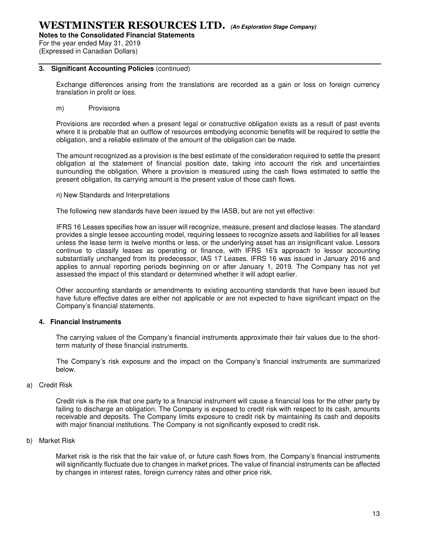For the year ended May 31, 2019 (Expressed in Canadian Dollars)

#### **3. Significant Accounting Policies** (continued)

Exchange differences arising from the translations are recorded as a gain or loss on foreign currency translation in profit or loss.

m) Provisions

Provisions are recorded when a present legal or constructive obligation exists as a result of past events where it is probable that an outflow of resources embodying economic benefits will be required to settle the obligation, and a reliable estimate of the amount of the obligation can be made.

The amount recognized as a provision is the best estimate of the consideration required to settle the present obligation at the statement of financial position date, taking into account the risk and uncertainties surrounding the obligation. Where a provision is measured using the cash flows estimated to settle the present obligation, its carrying amount is the present value of those cash flows.

n) New Standards and Interpretations

The following new standards have been issued by the IASB, but are not yet effective:

IFRS 16 Leases specifies how an issuer will recognize, measure, present and disclose leases. The standard provides a single lessee accounting model, requiring lessees to recognize assets and liabilities for all leases unless the lease term is twelve months or less, or the underlying asset has an insignificant value. Lessors continue to classify leases as operating or finance, with IFRS 16's approach to lessor accounting substantially unchanged from its predecessor, IAS 17 Leases. IFRS 16 was issued in January 2016 and applies to annual reporting periods beginning on or after January 1, 2019. The Company has not yet assessed the impact of this standard or determined whether it will adopt earlier.

Other accounting standards or amendments to existing accounting standards that have been issued but have future effective dates are either not applicable or are not expected to have significant impact on the Company's financial statements.

#### **4. Financial Instruments**

The carrying values of the Company's financial instruments approximate their fair values due to the shortterm maturity of these financial instruments.

The Company's risk exposure and the impact on the Company's financial instruments are summarized below.

a) Credit Risk

Credit risk is the risk that one party to a financial instrument will cause a financial loss for the other party by failing to discharge an obligation. The Company is exposed to credit risk with respect to its cash, amounts receivable and deposits. The Company limits exposure to credit risk by maintaining its cash and deposits with major financial institutions. The Company is not significantly exposed to credit risk.

#### b) Market Risk

Market risk is the risk that the fair value of, or future cash flows from, the Company's financial instruments will significantly fluctuate due to changes in market prices. The value of financial instruments can be affected by changes in interest rates, foreign currency rates and other price risk.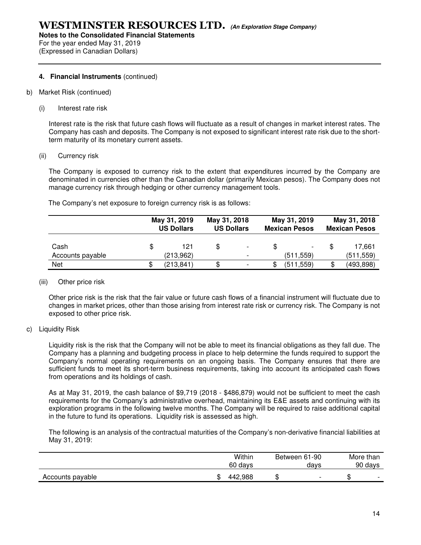For the year ended May 31, 2019 (Expressed in Canadian Dollars)

#### **4. Financial Instruments** (continued)

- b) Market Risk (continued)
	- (i) Interest rate risk

Interest rate is the risk that future cash flows will fluctuate as a result of changes in market interest rates. The Company has cash and deposits. The Company is not exposed to significant interest rate risk due to the shortterm maturity of its monetary current assets.

#### (ii) Currency risk

The Company is exposed to currency risk to the extent that expenditures incurred by the Company are denominated in currencies other than the Canadian dollar (primarily Mexican pesos). The Company does not manage currency risk through hedging or other currency management tools.

The Company's net exposure to foreign currency risk is as follows:

|                          | May 31, 2019<br><b>US Dollars</b> |    | May 31, 2018<br><b>US Dollars</b>                    |  | May 31, 2019<br><b>Mexican Pesos</b> | May 31, 2018<br><b>Mexican Pesos</b> |                      |  |
|--------------------------|-----------------------------------|----|------------------------------------------------------|--|--------------------------------------|--------------------------------------|----------------------|--|
| Cash<br>Accounts payable | 121<br>(213,962)                  | \$ | $\overline{\phantom{a}}$<br>$\overline{\phantom{a}}$ |  | $\sim$<br>(511, 559)                 |                                      | 17.661<br>(511, 559) |  |
| Net                      | (213, 841)                        | \$ | $\overline{\phantom{0}}$                             |  | (511, 559)                           | \$                                   | (493, 898)           |  |

#### (iii) Other price risk

Other price risk is the risk that the fair value or future cash flows of a financial instrument will fluctuate due to changes in market prices, other than those arising from interest rate risk or currency risk. The Company is not exposed to other price risk.

c) Liquidity Risk

Liquidity risk is the risk that the Company will not be able to meet its financial obligations as they fall due. The Company has a planning and budgeting process in place to help determine the funds required to support the Company's normal operating requirements on an ongoing basis. The Company ensures that there are sufficient funds to meet its short-term business requirements, taking into account its anticipated cash flows from operations and its holdings of cash.

As at May 31, 2019, the cash balance of \$9,719 (2018 - \$486,879) would not be sufficient to meet the cash requirements for the Company's administrative overhead, maintaining its E&E assets and continuing with its exploration programs in the following twelve months. The Company will be required to raise additional capital in the future to fund its operations. Liquidity risk is assessed as high.

The following is an analysis of the contractual maturities of the Company's non-derivative financial liabilities at May 31, 2019:

|                  | Within<br>60 days | Between 61-90<br>davs |                          | More than<br>90 days |                          |
|------------------|-------------------|-----------------------|--------------------------|----------------------|--------------------------|
| Accounts payable | 442.988<br>ιIJ    | Œ                     | $\overline{\phantom{0}}$ | ٠Đ                   | $\overline{\phantom{0}}$ |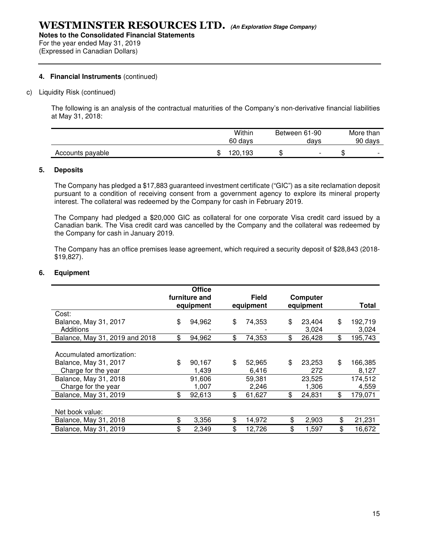For the year ended May 31, 2019 (Expressed in Canadian Dollars)

#### **4. Financial Instruments** (continued)

#### c) Liquidity Risk (continued)

The following is an analysis of the contractual maturities of the Company's non-derivative financial liabilities at May 31, 2018:

|                  | Within<br>60 days   | Between 61-90<br>davs          |   | More than<br>90 days     |
|------------------|---------------------|--------------------------------|---|--------------------------|
| Accounts payable | 193<br>' 20.<br>ιIJ | $\overline{\phantom{0}}$<br>ιD | w | $\overline{\phantom{0}}$ |

#### **5. Deposits**

The Company has pledged a \$17,883 guaranteed investment certificate ("GIC") as a site reclamation deposit pursuant to a condition of receiving consent from a government agency to explore its mineral property interest. The collateral was redeemed by the Company for cash in February 2019.

The Company had pledged a \$20,000 GIC as collateral for one corporate Visa credit card issued by a Canadian bank. The Visa credit card was cancelled by the Company and the collateral was redeemed by the Company for cash in January 2019.

The Company has an office premises lease agreement, which required a security deposit of \$28,843 (2018- \$19,827).

#### **6. Equipment**

|                                | <b>Office</b> |              |              |               |
|--------------------------------|---------------|--------------|--------------|---------------|
|                                | furniture and | <b>Field</b> | Computer     |               |
|                                | equipment     | equipment    | equipment    | Total         |
| Cost:                          |               |              |              |               |
| Balance, May 31, 2017          | \$<br>94,962  | \$<br>74,353 | \$<br>23,404 | \$<br>192,719 |
| Additions                      |               |              | 3,024        | 3,024         |
| Balance, May 31, 2019 and 2018 | \$<br>94,962  | \$<br>74,353 | \$<br>26,428 | \$<br>195,743 |
|                                |               |              |              |               |
| Accumulated amortization:      |               |              |              |               |
| Balance, May 31, 2017          | \$<br>90.167  | \$<br>52,965 | \$<br>23,253 | \$<br>166,385 |
| Charge for the year            | 1,439         | 6,416        | 272          | 8,127         |
| Balance, May 31, 2018          | 91,606        | 59,381       | 23,525       | 174,512       |
| Charge for the year            | 1,007         | 2,246        | 1,306        | 4,559         |
| Balance, May 31, 2019          | \$<br>92,613  | \$<br>61,627 | \$<br>24,831 | \$<br>179,071 |
|                                |               |              |              |               |
| Net book value:                |               |              |              |               |
| Balance, May 31, 2018          | \$<br>3,356   | \$<br>14,972 | \$<br>2,903  | \$<br>21,231  |
| Balance, May 31, 2019          | \$<br>2,349   | \$<br>12,726 | \$<br>1.597  | \$<br>16,672  |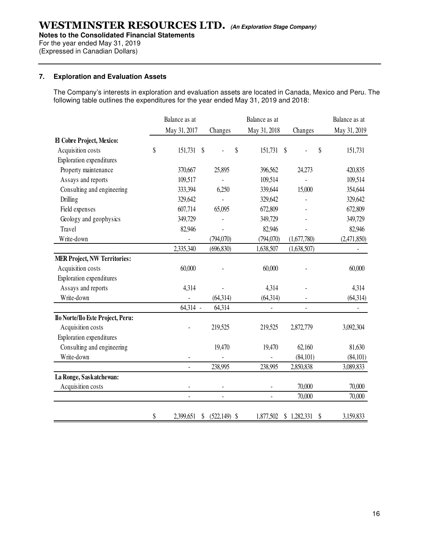For the year ended May 31, 2019 (Expressed in Canadian Dollars)

#### **7. Exploration and Evaluation Assets**

The Company's interests in exploration and evaluation assets are located in Canada, Mexico and Peru. The following table outlines the expenditures for the year ended May 31, 2019 and 2018:

|                                     | Balance as at   |                          | Balance as at  |             |                           | Balance as at            |
|-------------------------------------|-----------------|--------------------------|----------------|-------------|---------------------------|--------------------------|
|                                     | May 31, 2017    | Changes                  | May 31, 2018   | Changes     |                           | May 31, 2019             |
| El Cobre Project, Mexico:           |                 |                          |                |             |                           |                          |
| Acquisition costs                   | \$<br>151,731   | \$                       | \$<br>151,731  | \$          | \$                        | 151,731                  |
| Exploration expenditures            |                 |                          |                |             |                           |                          |
| Property maintenance                | 370,667         | 25,895                   | 396,562        | 24,273      |                           | 420,835                  |
| Assays and reports                  | 109,517         |                          | 109,514        |             |                           | 109,514                  |
| Consulting and engineering          | 333,394         | 6,250                    | 339,644        | 15,000      |                           | 354,644                  |
| <b>Drilling</b>                     | 329,642         | $\overline{a}$           | 329,642        |             |                           | 329,642                  |
| Field expenses                      | 607,714         | 65,095                   | 672,809        |             |                           | 672,809                  |
| Geology and geophysics              | 349,729         |                          | 349,729        |             |                           | 349,729                  |
| Travel                              | 82,946          |                          | 82,946         |             |                           | 82,946                   |
| Write-down                          |                 | (794,070)                | (794,070)      | (1,677,780) |                           | (2,471,850)              |
|                                     | 2,335,340       | (696, 830)               | 1,638,507      | (1,638,507) |                           |                          |
| <b>MER Project, NW Territories:</b> |                 |                          |                |             |                           |                          |
| Acquisition costs                   | 60,000          |                          | 60,000         |             |                           | 60,000                   |
| Exploration expenditures            |                 |                          |                |             |                           |                          |
| Assays and reports                  | 4,314           |                          | 4,314          |             |                           | 4,314                    |
| Write-down                          |                 | (64, 314)                | (64, 314)      |             |                           | (64, 314)                |
|                                     | 64,314 -        | 64,314                   | ÷.             |             |                           | $\overline{\phantom{a}}$ |
| Ilo Norte/Ilo Este Project, Peru:   |                 |                          |                |             |                           |                          |
| Acquisition costs                   |                 | 219,525                  | 219,525        | 2,872,779   |                           | 3,092,304                |
| Exploration expenditures            |                 |                          |                |             |                           |                          |
| Consulting and engineering          |                 | 19,470                   | 19,470         | 62,160      |                           | 81,630                   |
| Write-down                          |                 |                          |                | (84,101)    |                           | (84, 101)                |
|                                     |                 | 238,995                  | 238,995        | 2,850,838   |                           | 3,089,833                |
| La Ronge, Saskatchewan:             |                 |                          |                |             |                           |                          |
| Acquisition costs                   |                 |                          |                | 70,000      |                           | 70,000                   |
|                                     | $\overline{a}$  | $\overline{\phantom{a}}$ | $\blacksquare$ | 70,000      |                           | 70,000                   |
|                                     | \$<br>2,399,651 | \$<br>$(522, 149)$ \$    | 1,877,502      | \$1,282,331 | $\boldsymbol{\mathsf{S}}$ | 3,159,833                |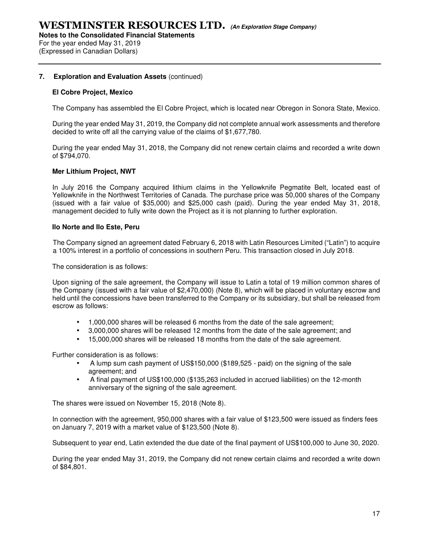For the year ended May 31, 2019 (Expressed in Canadian Dollars)

#### **7. Exploration and Evaluation Assets** (continued)

#### **El Cobre Project, Mexico**

The Company has assembled the El Cobre Project, which is located near Obregon in Sonora State, Mexico.

During the year ended May 31, 2019, the Company did not complete annual work assessments and therefore decided to write off all the carrying value of the claims of \$1,677,780.

During the year ended May 31, 2018, the Company did not renew certain claims and recorded a write down of \$794,070.

#### **Mer Lithium Project, NWT**

In July 2016 the Company acquired lithium claims in the Yellowknife Pegmatite Belt, located east of Yellowknife in the Northwest Territories of Canada. The purchase price was 50,000 shares of the Company (issued with a fair value of \$35,000) and \$25,000 cash (paid). During the year ended May 31, 2018, management decided to fully write down the Project as it is not planning to further exploration.

#### **Ilo Norte and Ilo Este, Peru**

The Company signed an agreement dated February 6, 2018 with Latin Resources Limited ("Latin") to acquire a 100% interest in a portfolio of concessions in southern Peru. This transaction closed in July 2018.

The consideration is as follows:

Upon signing of the sale agreement, the Company will issue to Latin a total of 19 million common shares of the Company (issued with a fair value of \$2,470,000) (Note 8), which will be placed in voluntary escrow and held until the concessions have been transferred to the Company or its subsidiary, but shall be released from escrow as follows:

- 1,000,000 shares will be released 6 months from the date of the sale agreement;
- 3,000,000 shares will be released 12 months from the date of the sale agreement; and
- 15,000,000 shares will be released 18 months from the date of the sale agreement.

Further consideration is as follows:

- A lump sum cash payment of US\$150,000 (\$189,525 paid) on the signing of the sale agreement; and
- A final payment of US\$100,000 (\$135,263 included in accrued liabilities) on the 12-month anniversary of the signing of the sale agreement.

The shares were issued on November 15, 2018 (Note 8).

In connection with the agreement, 950,000 shares with a fair value of \$123,500 were issued as finders fees on January 7, 2019 with a market value of \$123,500 (Note 8).

Subsequent to year end, Latin extended the due date of the final payment of US\$100,000 to June 30, 2020.

During the year ended May 31, 2019, the Company did not renew certain claims and recorded a write down of \$84,801.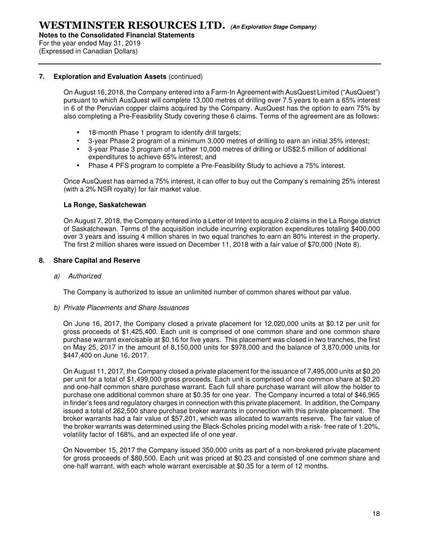For the year ended May 31, 2019 (Expressed in Canadian Dollars)

#### **7. Exploration and Evaluation Assets** (continued)

On August 16, 2018, the Company entered into a Farm-In Agreement with AusQuest Limited ("AusQuest") pursuant to which AusQuest will complete 13,000 metres of drilling over 7.5 years to earn a 65% interest in 6 of the Peruvian copper claims acquired by the Company. AusQuest has the option to earn 75% by also completing a Pre-Feasibility Study covering these 6 claims. Terms of the agreement are as follows:

- 18-month Phase 1 program to identify drill targets;
- 3-year Phase 2 program of a minimum 3,000 metres of drilling to earn an initial 35% interest;
- 3-year Phase 3 program of a further 10,000 metres of drilling or US\$2.5 million of additional expenditures to achieve 65% interest; and
- Phase 4 PFS program to complete a Pre-Feasibility Study to achieve a 75% interest.

Once AusQuest has earned a 75% interest, it can offer to buy out the Company's remaining 25% interest (with a 2% NSR royalty) for fair market value.

#### **La Ronge, Saskatchewan**

On August 7, 2018, the Company entered into a Letter of Intent to acquire 2 claims in the La Ronge district of Saskatchewan. Terms of the acquisition include incurring exploration expenditures totaling \$400,000 over 3 years and issuing 4 million shares in two equal tranches to earn an 80% interest in the property. The first 2 million shares were issued on December 11, 2018 with a fair value of \$70,000 (Note 8).

#### **8. Share Capital and Reserve**

a) Authorized

The Company is authorized to issue an unlimited number of common shares without par value.

#### b) Private Placements and Share Issuances

On June 16, 2017, the Company closed a private placement for 12,020,000 units at \$0.12 per unit for gross proceeds of \$1,425,400. Each unit is comprised of one common share and one common share purchase warrant exercisable at \$0.16 for five years. This placement was closed in two tranches, the first on May 25, 2017 in the amount of 8,150,000 units for \$978,000 and the balance of 3,870,000 units for \$447,400 on June 16, 2017.

On August 11, 2017, the Company closed a private placement for the issuance of 7,495,000 units at \$0.20 per unit for a total of \$1,499,000 gross proceeds. Each unit is comprised of one common share at \$0.20 and one-half common share purchase warrant. Each full share purchase warrant will allow the holder to purchase one additional common share at \$0.35 for one year. The Company incurred a total of \$46,965 in finder's fees and regulatory charges in connection with this private placement. In addition, the Company issued a total of 262,500 share purchase broker warrants in connection with this private placement. The broker warrants had a fair value of \$57,201, which was allocated to warrants reserve. The fair value of the broker warrants was determined using the Black-Scholes pricing model with a risk- free rate of 1.20%, volatility factor of 168%, and an expected life of one year.

On November 15, 2017 the Company issued 350,000 units as part of a non-brokered private placement for gross proceeds of \$80,500. Each unit was priced at \$0.23 and consisted of one common share and one-half warrant, with each whole warrant exercisable at \$0.35 for a term of 12 months.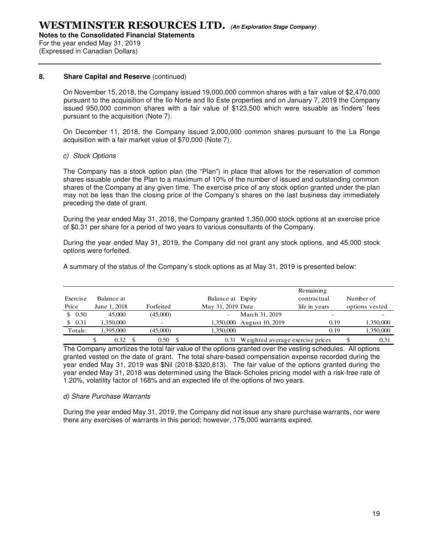#### **8. Share Capital and Reserve** (continued)

On November 15, 2018, the Company issued 19,000,000 common shares with a fair value of \$2,470,000 pursuant to the acquisition of the Ilo Norte and Ilo Este properties and on January 7, 2019 the Company issued 950,000 common shares with a fair value of \$123,500 which were issuable as finders' fees pursuant to the acquisition (Note 7).

On December 11, 2018, the Company issued 2,000,000 common shares pursuant to the La Ronge acquisition with a fair market value of \$70,000 (Note 7).

#### c) Stock Options

The Company has a stock option plan (the "Plan") in place that allows for the reservation of common shares issuable under the Plan to a maximum of 10% of the number of issued and outstanding common shares of the Company at any given time. The exercise price of any stock option granted under the plan may not be less than the closing price of the Company's shares on the last business day immediately preceding the date of grant.

During the year ended May 31, 2018, the Company granted 1,350,000 stock options at an exercise price of \$0.31 per share for a period of two years to various consultants of the Company.

During the year ended May 31, 2019, the Company did not grant any stock options, and 45,000 stock options were forfeited.

A summary of the status of the Company's stock options as at May 31, 2019 is presented below:

|            |              |                          |                          |                                       | Remaining     |                |
|------------|--------------|--------------------------|--------------------------|---------------------------------------|---------------|----------------|
| Exercise   | Balance at   |                          | Balance at Expiry        |                                       | contractual   | Number of      |
| Price      | June 1, 2018 | Forfeited                | May 31, 2019 Date        |                                       | life in years | options vested |
| 0.50<br>S. | 45,000       | (45,000)                 | $\overline{\phantom{a}}$ | March 31, 2019                        |               |                |
| 0.31       | 1.350,000    | $\overline{\phantom{a}}$ |                          | 1,350,000 August 10, 2019             | 0.19          | 1,350,000      |
| Totals:    | 1,395,000    | (45,000)                 | 1.350.000                |                                       | 0.19          | 1,350,000      |
|            | \$.<br>0.32  | 0.50                     |                          | 0.31 Weighted average exercise prices |               | 0.31           |

The Company amortizes the total fair value of the options granted over the vesting schedules. All options granted vested on the date of grant. The total share-based compensation expense recorded during the year ended May 31, 2019 was \$Nil (2018-\$320,813). The fair value of the options granted during the year ended May 31, 2018 was determined using the Black-Scholes pricing model with a risk-free rate of 1.20%, volatility factor of 168% and an expected life of the options of two years.

#### d) Share Purchase Warrants

During the year ended May 31, 2019, the Company did not issue any share purchase warrants, nor were there any exercises of warrants in this period; however, 175,000 warrants expired.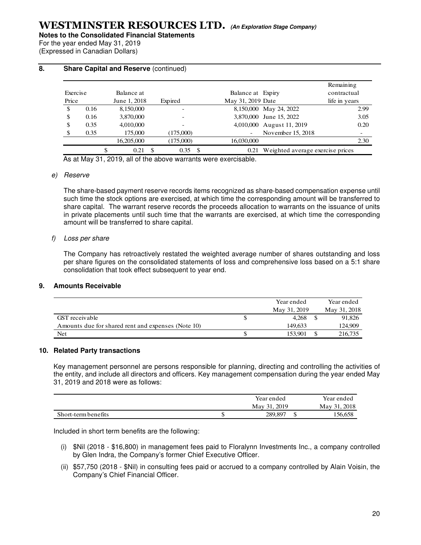**Notes to the Consolidated Financial Statements** 

For the year ended May 31, 2019 (Expressed in Canadian Dollars)

#### **8.** Share Capital and Reserve (continued)

|          |      |              |     |           |    |                          |                                       | Remaining     |      |
|----------|------|--------------|-----|-----------|----|--------------------------|---------------------------------------|---------------|------|
| Exercise |      | Balance at   |     |           |    | Balance at Expiry        |                                       | contractual   |      |
| Price    |      | June 1, 2018 |     | Expired   |    | May 31, 2019 Date        |                                       | life in years |      |
| \$       | 0.16 | 8,150,000    |     |           |    |                          | 8,150,000 May 24, 2022                |               | 2.99 |
| S        | 0.16 | 3,870,000    |     |           |    |                          | 3,870,000 June 15, 2022               |               | 3.05 |
| \$       | 0.35 | 4,010,000    |     |           |    |                          | 4,010,000 August 11, 2019             |               | 0.20 |
| \$       | 0.35 | 175,000      |     | (175,000) |    | $\overline{\phantom{a}}$ | November 15, 2018                     |               |      |
|          |      | 16,205,000   |     | (175,000) |    | 16,030,000               |                                       |               | 2.30 |
|          |      | 0.21         | \$. | 0.35      | -S |                          | 0.21 Weighted average exercise prices |               |      |

As at May 31, 2019, all of the above warrants were exercisable.

#### e) Reserve

The share-based payment reserve records items recognized as share-based compensation expense until such time the stock options are exercised, at which time the corresponding amount will be transferred to share capital. The warrant reserve records the proceeds allocation to warrants on the issuance of units in private placements until such time that the warrants are exercised, at which time the corresponding amount will be transferred to share capital.

#### f) Loss per share

The Company has retroactively restated the weighted average number of shares outstanding and loss per share figures on the consolidated statements of loss and comprehensive loss based on a 5:1 share consolidation that took effect subsequent to year end.

#### **9. Amounts Receivable**

|                                                    | Year ended   | Year ended   |
|----------------------------------------------------|--------------|--------------|
|                                                    | May 31, 2019 | May 31, 2018 |
| GST receivable                                     | 4.268        | 91.826       |
| Amounts due for shared rent and expenses (Note 10) | 149.633      | 124,909      |
| Net                                                | 153.901      | 216,735      |

#### **10. Related Party transactions**

Key management personnel are persons responsible for planning, directing and controlling the activities of the entity, and include all directors and officers. Key management compensation during the year ended May 31, 2019 and 2018 were as follows:

|                     | Year ended   | Year ended   |
|---------------------|--------------|--------------|
|                     | May 31, 2019 | May 31, 2018 |
| Short-term benefits | 289.897      | 156.658      |

Included in short term benefits are the following:

- (i) \$Nil (2018 \$16,800) in management fees paid to Floralynn Investments Inc., a company controlled by Glen Indra, the Company's former Chief Executive Officer.
- (ii) \$57,750 (2018 \$Nil) in consulting fees paid or accrued to a company controlled by Alain Voisin, the Company's Chief Financial Officer.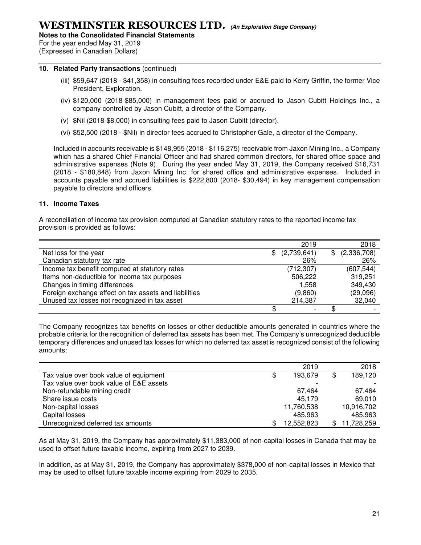**Notes to the Consolidated Financial Statements** 

For the year ended May 31, 2019 (Expressed in Canadian Dollars)

#### **10. Related Party transactions** (continued)

- (iii) \$59,647 (2018 \$41,358) in consulting fees recorded under E&E paid to Kerry Griffin, the former Vice President, Exploration.
- (iv) \$120,000 (2018-\$85,000) in management fees paid or accrued to Jason Cubitt Holdings Inc., a company controlled by Jason Cubitt, a director of the Company.
- (v) \$Nil (2018-\$8,000) in consulting fees paid to Jason Cubitt (director).
- (vi) \$52,500 (2018 \$Nil) in director fees accrued to Christopher Gale, a director of the Company.

Included in accounts receivable is \$148,955 (2018 - \$116,275) receivable from Jaxon Mining Inc., a Company which has a shared Chief Financial Officer and had shared common directors, for shared office space and administrative expenses (Note 9). During the year ended May 31, 2019, the Company received \$16,731 (2018 - \$180,848) from Jaxon Mining Inc. for shared office and administrative expenses. Included in accounts payable and accrued liabilities is \$222,800 (2018- \$30,494) in key management compensation payable to directors and officers.

#### **11. Income Taxes**

A reconciliation of income tax provision computed at Canadian statutory rates to the reported income tax provision is provided as follows:

|                                                       | 2019                     | 2018              |
|-------------------------------------------------------|--------------------------|-------------------|
| Net loss for the year                                 | \$<br>(2,739,641)        | \$<br>(2,336,708) |
| Canadian statutory tax rate                           | 26%                      | 26%               |
| Income tax benefit computed at statutory rates        | (712, 307)               | (607, 544)        |
| Items non-deductible for income tax purposes          | 506,222                  | 319,251           |
| Changes in timing differences                         | 1.558                    | 349,430           |
| Foreign exchange effect on tax assets and liabilities | (9,860)                  | (29,096)          |
| Unused tax losses not recognized in tax asset         | 214,387                  | 32,040            |
|                                                       | $\overline{\phantom{a}}$ |                   |

The Company recognizes tax benefits on losses or other deductible amounts generated in countries where the probable criteria for the recognition of deferred tax assets has been met. The Company's unrecognized deductible temporary differences and unused tax losses for which no deferred tax asset is recognized consist of the following amounts:

|                                         | 2019          |   | 2018       |
|-----------------------------------------|---------------|---|------------|
| Tax value over book value of equipment  | \$<br>193.679 | S | 189,120    |
| Tax value over book value of E&E assets |               |   |            |
| Non-refundable mining credit            | 67.464        |   | 67.464     |
| Share issue costs                       | 45,179        |   | 69,010     |
| Non-capital losses                      | 11,760,538    |   | 10,916,702 |
| Capital losses                          | 485,963       |   | 485,963    |
| Unrecognized deferred tax amounts       | 12,552,823    |   | 11,728,259 |

As at May 31, 2019, the Company has approximately \$11,383,000 of non-capital losses in Canada that may be used to offset future taxable income, expiring from 2027 to 2039.

In addition, as at May 31, 2019, the Company has approximately \$378,000 of non-capital losses in Mexico that may be used to offset future taxable income expiring from 2029 to 2035.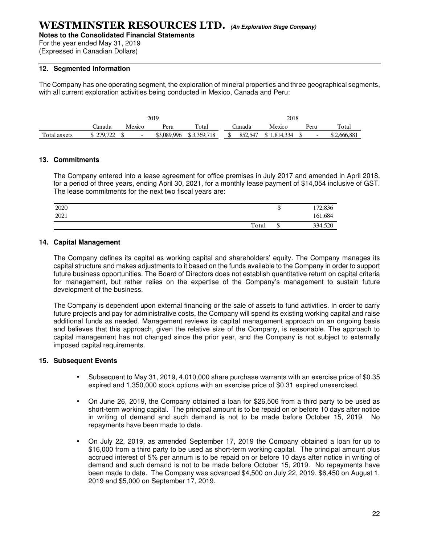For the year ended May 31, 2019

(Expressed in Canadian Dollars)

#### **12. Segmented Information**

The Company has one operating segment, the exploration of mineral properties and three geographical segments, with all current exploration activities being conducted in Mexico, Canada and Peru:

|              | 2019      |        |             |             |  | 2018 |         |          |  |                          |             |  |
|--------------|-----------|--------|-------------|-------------|--|------|---------|----------|--|--------------------------|-------------|--|
|              | Canada    | Mexico | Peru        | Total       |  |      | .`anada | Mexico   |  | Peru                     | Total       |  |
| Total assets | \$279,722 |        | \$3,089,996 | \$3,369,718 |  |      | 852,547 | .814.334 |  | $\overline{\phantom{0}}$ | \$2,666,881 |  |

#### **13. Commitments**

The Company entered into a lease agreement for office premises in July 2017 and amended in April 2018, for a period of three years, ending April 30, 2021, for a monthly lease payment of \$14,054 inclusive of GST. The lease commitments for the next two fiscal years are:

| 2020 |       | J  | 172,836 |
|------|-------|----|---------|
| 2021 |       |    | 161,684 |
|      | Total | \$ | 334,520 |

#### **14. Capital Management**

The Company defines its capital as working capital and shareholders' equity. The Company manages its capital structure and makes adjustments to it based on the funds available to the Company in order to support future business opportunities. The Board of Directors does not establish quantitative return on capital criteria for management, but rather relies on the expertise of the Company's management to sustain future development of the business.

The Company is dependent upon external financing or the sale of assets to fund activities. In order to carry future projects and pay for administrative costs, the Company will spend its existing working capital and raise additional funds as needed. Management reviews its capital management approach on an ongoing basis and believes that this approach, given the relative size of the Company, is reasonable. The approach to capital management has not changed since the prior year, and the Company is not subject to externally imposed capital requirements.

#### **15. Subsequent Events**

- Subsequent to May 31, 2019, 4,010,000 share purchase warrants with an exercise price of \$0.35 expired and 1,350,000 stock options with an exercise price of \$0.31 expired unexercised.
- On June 26, 2019, the Company obtained a loan for \$26,506 from a third party to be used as short-term working capital. The principal amount is to be repaid on or before 10 days after notice in writing of demand and such demand is not to be made before October 15, 2019. No repayments have been made to date.
- On July 22, 2019, as amended September 17, 2019 the Company obtained a loan for up to \$16,000 from a third party to be used as short-term working capital. The principal amount plus accrued interest of 5% per annum is to be repaid on or before 10 days after notice in writing of demand and such demand is not to be made before October 15, 2019. No repayments have been made to date. The Company was advanced \$4,500 on July 22, 2019, \$6,450 on August 1, 2019 and \$5,000 on September 17, 2019.